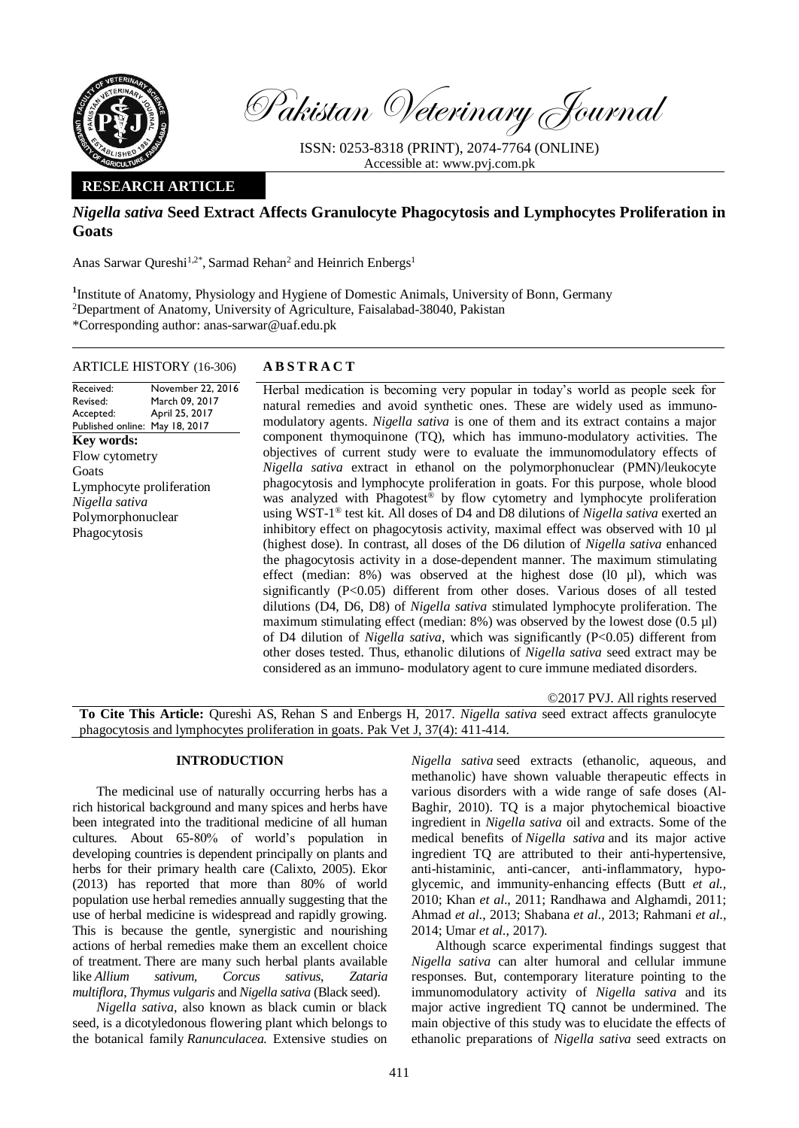

Pakistan Veterinary Journal

ISSN: 0253-8318 (PRINT), 2074-7764 (ONLINE) Accessible at: [www.pvj.com.pk](http://www.pvj.com.pk/)

# **RESEARCH ARTICLE**

# *Nigella sativa* **Seed Extract Affects Granulocyte Phagocytosis and Lymphocytes Proliferation in Goats**

Anas Sarwar Qureshi<sup>1,2\*</sup>, Sarmad Rehan<sup>2</sup> and Heinrich Enbergs<sup>1</sup>

<sup>1</sup> Institute of Anatomy, Physiology and Hygiene of Domestic Animals, University of Bonn, Germany <sup>2</sup>Department of Anatomy, University of Agriculture, Faisalabad-38040, Pakistan \*Corresponding author: anas-sarwar@uaf.edu.pk

## ARTICLE HISTORY (16-306) **A B S T R A C T**

#### Received: Revised: Accepted: Published online: May 18, 2017 November 22, 2016 March 09, 2017 April 25, 2017 **Key words:**  Flow cytometry **Goats** Lymphocyte proliferation *Nigella sativa* Polymorphonuclear Phagocytosis

Herbal medication is becoming very popular in today's world as people seek for natural remedies and avoid synthetic ones. These are widely used as immunomodulatory agents. *Nigella sativa* is one of them and its extract contains a major component thymoquinone (TQ), which has immuno-modulatory activities. The objectives of current study were to evaluate the immunomodulatory effects of *Nigella sativa* extract in ethanol on the polymorphonuclear (PMN)/leukocyte phagocytosis and lymphocyte proliferation in goats. For this purpose, whole blood was analyzed with Phagotest<sup>®</sup> by flow cytometry and lymphocyte proliferation using WST-1 ® test kit. All doses of D4 and D8 dilutions of *Nigella sativa* exerted an inhibitory effect on phagocytosis activity, maximal effect was observed with 10 µl (highest dose). In contrast, all doses of the D6 dilution of *Nigella sativa* enhanced the phagocytosis activity in a dose-dependent manner. The maximum stimulating effect (median:  $8\%$ ) was observed at the highest dose (l0  $\mu$ l), which was significantly (P<0.05) different from other doses. Various doses of all tested dilutions (D4, D6, D8) of *Nigella sativa* stimulated lymphocyte proliferation. The maximum stimulating effect (median:  $8\%$ ) was observed by the lowest dose (0.5 µl) of D4 dilution of *Nigella sativa*, which was significantly (P<0.05) different from other doses tested. Thus, ethanolic dilutions of *Nigella sativa* seed extract may be considered as an immuno- modulatory agent to cure immune mediated disorders.

©2017 PVJ. All rights reserved

**To Cite This Article:** Qureshi AS, Rehan S and Enbergs H, 2017. *Nigella sativa* seed extract affects granulocyte phagocytosis and lymphocytes proliferation in goats. Pak Vet J, 37(4): 411-414.

## **INTRODUCTION**

The medicinal use of naturally occurring herbs has a rich historical background and many spices and herbs have been integrated into the traditional medicine of all human cultures. About 65-80% of world's population in developing countries is dependent principally on plants and herbs for their primary health care (Calixto, 2005). Ekor (2013) has reported that more than 80% of world population use herbal remedies annually suggesting that the use of herbal medicine is widespread and rapidly growing. This is because the gentle, synergistic and nourishing actions of herbal remedies make them an excellent choice of treatment. There are many such herbal plants available like *Allium sativum, Corcus sativus*, *Zataria multiflora*, *Thymus vulgaris* and *Nigella sativa* (Black seed).

*Nigella sativa*, also known as black cumin or black seed, is a dicotyledonous flowering plant which belongs to the botanical family *Ranunculacea.* Extensive studies on *Nigella sativa* seed extracts (ethanolic, aqueous, and methanolic) have shown valuable therapeutic effects in various disorders with a wide range of safe doses (Al-Baghir, 2010). TQ is a major phytochemical bioactive ingredient in *Nigella sativa* oil and extracts. Some of the medical benefits of *Nigella sativa* and its major active ingredient TQ are attributed to their anti-hypertensive, anti-histaminic, anti-cancer, anti-inflammatory, hypoglycemic, and immunity-enhancing effects (Butt *et al.,* 2010; Khan *et al*., 2011; Randhawa and Alghamdi, 2011; Ahmad *et al*., 2013; Shabana *et al*., 2013; Rahmani *et al*., 2014; Umar *et al.*, 2017).

Although scarce experimental findings suggest that *Nigella sativa* can alter humoral and cellular immune responses. But, contemporary literature pointing to the immunomodulatory activity of *Nigella sativa* and its major active ingredient TQ cannot be undermined. The main objective of this study was to elucidate the effects of ethanolic preparations of *Nigella sativa* seed extracts on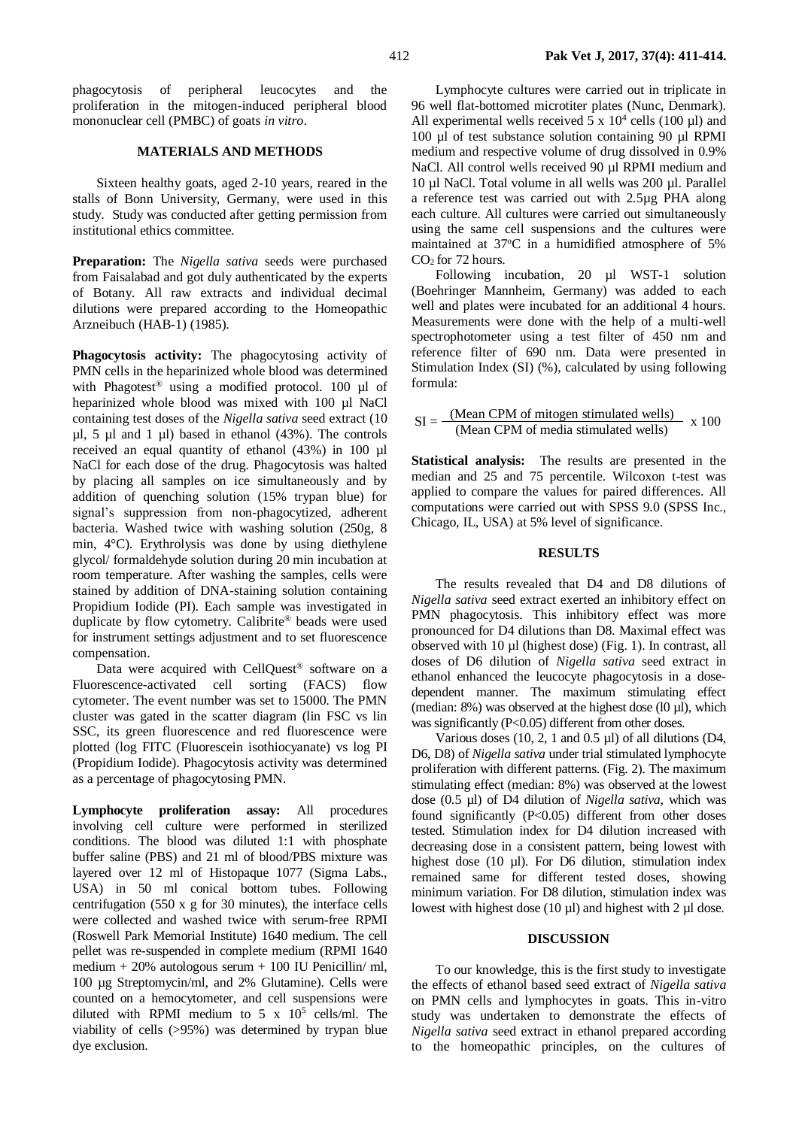phagocytosis of peripheral leucocytes and the proliferation in the mitogen-induced peripheral blood mononuclear cell (PMBC) of goats *in vitro*.

## **MATERIALS AND METHODS**

Sixteen healthy goats, aged 2-10 years, reared in the stalls of Bonn University, Germany, were used in this study. Study was conducted after getting permission from institutional ethics committee.

**Preparation:** The *Nigella sativa* seeds were purchased from Faisalabad and got duly authenticated by the experts of Botany. All raw extracts and individual decimal dilutions were prepared according to the Homeopathic Arzneibuch (HAB-1) (1985).

**Phagocytosis activity:** The phagocytosing activity of PMN cells in the heparinized whole blood was determined with Phagotest<sup>®</sup> using a modified protocol. 100 µl of heparinized whole blood was mixed with 100 µl NaCl containing test doses of the *Nigella sativa* seed extract (10  $\mu$ l, 5  $\mu$ l and 1  $\mu$ l) based in ethanol (43%). The controls received an equal quantity of ethanol (43%) in 100 µl NaCl for each dose of the drug. Phagocytosis was halted by placing all samples on ice simultaneously and by addition of quenching solution (15% trypan blue) for signal's suppression from non-phagocytized, adherent bacteria. Washed twice with washing solution (250g, 8 min, 4°C). Erythrolysis was done by using diethylene glycol/ formaldehyde solution during 20 min incubation at room temperature. After washing the samples, cells were stained by addition of DNA-staining solution containing Propidium Iodide (PI). Each sample was investigated in duplicate by flow cytometry. Calibrite® beads were used for instrument settings adjustment and to set fluorescence compensation.

Data were acquired with CellQuest® software on a Fluorescence-activated cell sorting (FACS) flow cytometer. The event number was set to 15000. The PMN cluster was gated in the scatter diagram (lin FSC vs lin SSC, its green fluorescence and red fluorescence were plotted (log FITC (Fluorescein isothiocyanate) vs log PI (Propidium Iodide). Phagocytosis activity was determined as a percentage of phagocytosing PMN.

**Lymphocyte proliferation assay:** All procedures involving cell culture were performed in sterilized conditions. The blood was diluted 1:1 with phosphate buffer saline (PBS) and 21 ml of blood/PBS mixture was layered over 12 ml of Histopaque 1077 (Sigma Labs., USA) in 50 ml conical bottom tubes. Following centrifugation (550 x g for 30 minutes), the interface cells were collected and washed twice with serum-free RPMI (Roswell Park Memorial Institute) 1640 medium. The cell pellet was re-suspended in complete medium (RPMI 1640 medium + 20% autologous serum + 100 IU Penicillin/ ml, 100 µg Streptomycin/ml, and 2% Glutamine). Cells were counted on a hemocytometer, and cell suspensions were diluted with RPMI medium to  $5 \times 10^5$  cells/ml. The viability of cells (>95%) was determined by trypan blue dye exclusion.

Lymphocyte cultures were carried out in triplicate in 96 well flat-bottomed microtiter plates (Nunc, Denmark). All experimental wells received  $5 \times 10^4$  cells (100 µl) and 100 µl of test substance solution containing 90 µl RPMI medium and respective volume of drug dissolved in 0.9% NaCl. All control wells received 90 µl RPMI medium and 10 µl NaCl. Total volume in all wells was 200 µl. Parallel a reference test was carried out with 2.5µg PHA along each culture. All cultures were carried out simultaneously using the same cell suspensions and the cultures were maintained at 37°C in a humidified atmosphere of 5%  $CO<sub>2</sub>$  for 72 hours.

Following incubation, 20 µl WST-1 solution (Boehringer Mannheim, Germany) was added to each well and plates were incubated for an additional 4 hours. Measurements were done with the help of a multi-well spectrophotometer using a test filter of 450 nm and reference filter of 690 nm. Data were presented in Stimulation Index (SI) (%), calculated by using following formula:

$$
SI = \frac{(Mean CPM \text{ of mitogen stimulated wells})}{(Mean CPM \text{ of media stimulated wells})} \times 100
$$

**Statistical analysis:** The results are presented in the median and 25 and 75 percentile. Wilcoxon t-test was applied to compare the values for paired differences. All computations were carried out with SPSS 9.0 (SPSS Inc., Chicago, IL, USA) at 5% level of significance.

## **RESULTS**

The results revealed that D4 and D8 dilutions of *Nigella sativa* seed extract exerted an inhibitory effect on PMN phagocytosis. This inhibitory effect was more pronounced for D4 dilutions than D8. Maximal effect was observed with 10 µl (highest dose) (Fig. 1). In contrast, all doses of D6 dilution of *Nigella sativa* seed extract in ethanol enhanced the leucocyte phagocytosis in a dosedependent manner. The maximum stimulating effect (median: 8%) was observed at the highest dose (l0 µl), which was significantly (P<0.05) different from other doses.

Various doses (10, 2, 1 and 0.5 µl) of all dilutions (D4, D6, D8) of *Nigella sativa* under trial stimulated lymphocyte proliferation with different patterns. (Fig. 2). The maximum stimulating effect (median: 8%) was observed at the lowest dose (0.5 µl) of D4 dilution of *Nigella sativa*, which was found significantly (P<0.05) different from other doses tested. Stimulation index for D4 dilution increased with decreasing dose in a consistent pattern, being lowest with highest dose (10 µl). For D6 dilution, stimulation index remained same for different tested doses, showing minimum variation. For D8 dilution, stimulation index was lowest with highest dose (10  $\mu$ l) and highest with 2  $\mu$ l dose.

#### **DISCUSSION**

To our knowledge, this is the first study to investigate the effects of ethanol based seed extract of *Nigella sativa* on PMN cells and lymphocytes in goats. This in-vitro study was undertaken to demonstrate the effects of *Nigella sativa* seed extract in ethanol prepared according to the homeopathic principles, on the cultures of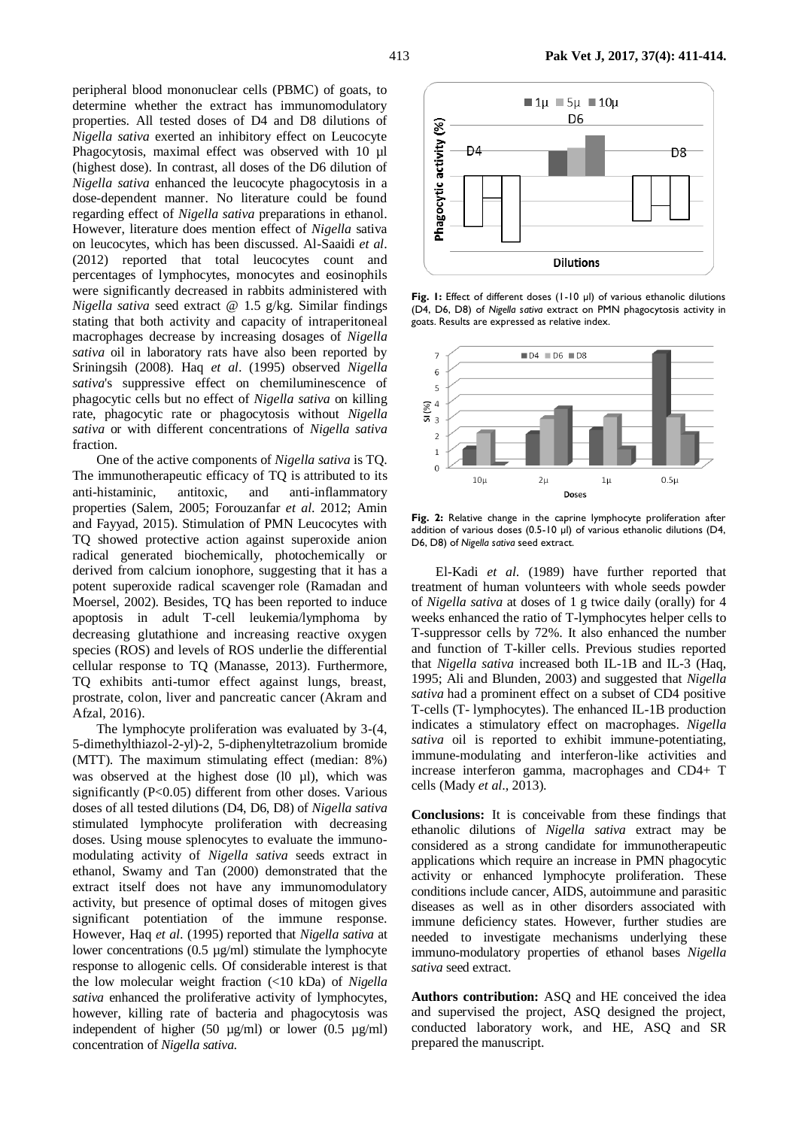peripheral blood mononuclear cells (PBMC) of goats, to determine whether the extract has immunomodulatory properties. All tested doses of D4 and D8 dilutions of *Nigella sativa* exerted an inhibitory effect on Leucocyte Phagocytosis, maximal effect was observed with 10 µl (highest dose). In contrast, all doses of the D6 dilution of *Nigella sativa* enhanced the leucocyte phagocytosis in a dose-dependent manner. No literature could be found regarding effect of *Nigella sativa* preparations in ethanol. However, literature does mention effect of *Nigella* sativa on leucocytes, which has been discussed. Al-Saaidi *et al*. (2012) reported that total leucocytes count and percentages of lymphocytes, monocytes and eosinophils were significantly decreased in rabbits administered with *Nigella sativa* seed extract @ 1.5 g/kg. Similar findings stating that both activity and capacity of intraperitoneal macrophages decrease by increasing dosages of *Nigella sativa* oil in laboratory rats have also been reported by Sriningsih (2008). Haq *et al*. (1995) observed *Nigella sativa*'s suppressive effect on chemiluminescence of phagocytic cells but no effect of *Nigella sativa* on killing rate, phagocytic rate or phagocytosis without *Nigella sativa* or with different concentrations of *Nigella sativa* fraction.

One of the active components of *Nigella sativa* is TQ. The immunotherapeutic efficacy of TQ is attributed to its anti-histaminic, antitoxic, and anti-inflammatory properties (Salem, 2005; Forouzanfar *et al*. 2012; Amin and Fayyad, 2015). Stimulation of PMN Leucocytes with TQ showed protective action against superoxide anion radical generated biochemically, photochemically or derived from calcium ionophore, suggesting that it has a potent superoxide radical scavenger role (Ramadan and Moersel, 2002). Besides, TQ has been reported to induce apoptosis in adult T-cell leukemia/lymphoma by decreasing glutathione and increasing reactive oxygen species (ROS) and levels of ROS underlie the differential cellular response to TQ (Manasse, 2013). Furthermore, TQ exhibits anti-tumor effect against lungs, breast, prostrate, colon, liver and pancreatic cancer (Akram and Afzal, 2016).

The lymphocyte proliferation was evaluated by 3-(4, 5-dimethylthiazol-2-yl)-2, 5-diphenyltetrazolium bromide (MTT). The maximum stimulating effect (median: 8%) was observed at the highest dose  $(10 \mu l)$ , which was significantly (P<0.05) different from other doses. Various doses of all tested dilutions (D4, D6, D8) of *Nigella sativa* stimulated lymphocyte proliferation with decreasing doses. Using mouse splenocytes to evaluate the immunomodulating activity of *Nigella sativa* seeds extract in ethanol, Swamy and Tan (2000) demonstrated that the extract itself does not have any immunomodulatory activity, but presence of optimal doses of mitogen gives significant potentiation of the immune response. However, Haq *et al*. (1995) reported that *Nigella sativa* at lower concentrations (0.5 µg/ml) stimulate the lymphocyte response to allogenic cells. Of considerable interest is that the low molecular weight fraction (<10 kDa) of *Nigella sativa* enhanced the proliferative activity of lymphocytes, however, killing rate of bacteria and phagocytosis was independent of higher (50  $\mu$ g/ml) or lower (0.5  $\mu$ g/ml) concentration of *Nigella sativa.*



**Fig. 1:** Effect of different doses (1-10 µl) of various ethanolic dilutions (D4, D6, D8) of *Nigella sativa* extract on PMN phagocytosis activity in goats. Results are expressed as relative index.



**Fig. 2:** Relative change in the caprine lymphocyte proliferation after addition of various doses (0.5-10 µl) of various ethanolic dilutions (D4, D6, D8) of *Nigella sativa* seed extract.

El-Kadi *et al*. (1989) have further reported that treatment of human volunteers with whole seeds powder of *Nigella sativa* at doses of 1 g twice daily (orally) for 4 weeks enhanced the ratio of T-lymphocytes helper cells to T-suppressor cells by 72%. It also enhanced the number and function of T-killer cells. Previous studies reported that *Nigella sativa* increased both IL-1B and IL-3 (Haq, 1995; Ali and Blunden, 2003) and suggested that *Nigella sativa* had a prominent effect on a subset of CD4 positive T-cells (T- lymphocytes). The enhanced IL-1B production indicates a stimulatory effect on macrophages. *Nigella sativa* oil is reported to exhibit immune-potentiating, immune-modulating and interferon-like activities and increase interferon gamma, macrophages and CD4+ T cells (Mady *et al*., 2013).

**Conclusions:** It is conceivable from these findings that ethanolic dilutions of *Nigella sativa* extract may be considered as a strong candidate for immunotherapeutic applications which require an increase in PMN phagocytic activity or enhanced lymphocyte proliferation. These conditions include cancer, AIDS, autoimmune and parasitic diseases as well as in other disorders associated with immune deficiency states. However, further studies are needed to investigate mechanisms underlying these immuno-modulatory properties of ethanol bases *Nigella sativa* seed extract.

**Authors contribution:** ASQ and HE conceived the idea and supervised the project, ASQ designed the project, conducted laboratory work, and HE, ASQ and SR prepared the manuscript.